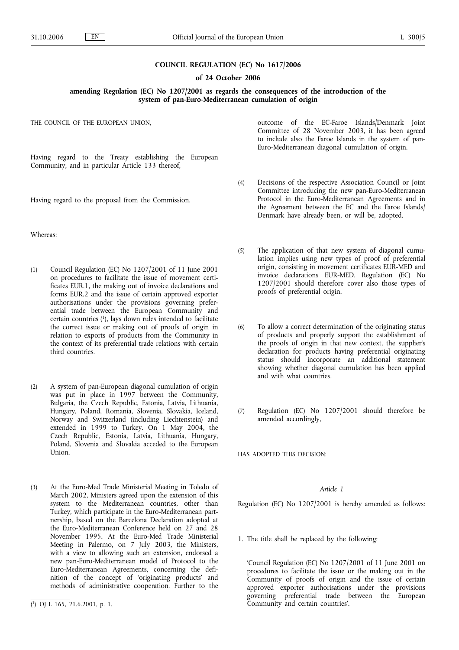#### **COUNCIL REGULATION (EC) No 1617/2006**

#### **of 24 October 2006**

**amending Regulation (EC) No 1207/2001 as regards the consequences of the introduction of the system of pan-Euro-Mediterranean cumulation of origin**

THE COUNCIL OF THE EUROPEAN UNION,

Having regard to the Treaty establishing the European Community, and in particular Article 133 thereof,

Having regard to the proposal from the Commission,

Whereas:

- (1) Council Regulation (EC) No 1207/2001 of 11 June 2001 on procedures to facilitate the issue of movement certificates EUR.1, the making out of invoice declarations and forms EUR.2 and the issue of certain approved exporter authorisations under the provisions governing preferential trade between the European Community and certain countries (1), lays down rules intended to facilitate the correct issue or making out of proofs of origin in relation to exports of products from the Community in the context of its preferential trade relations with certain third countries.
- (2) A system of pan-European diagonal cumulation of origin was put in place in 1997 between the Community, Bulgaria, the Czech Republic, Estonia, Latvia, Lithuania, Hungary, Poland, Romania, Slovenia, Slovakia, Iceland, Norway and Switzerland (including Liechtenstein) and extended in 1999 to Turkey. On 1 May 2004, the Czech Republic, Estonia, Latvia, Lithuania, Hungary, Poland, Slovenia and Slovakia acceded to the European Union.
- (3) At the Euro-Med Trade Ministerial Meeting in Toledo of March 2002, Ministers agreed upon the extension of this system to the Mediterranean countries, other than Turkey, which participate in the Euro-Mediterranean partnership, based on the Barcelona Declaration adopted at the Euro-Mediterranean Conference held on 27 and 28 November 1995. At the Euro-Med Trade Ministerial Meeting in Palermo, on 7 July 2003, the Ministers, with a view to allowing such an extension, endorsed a new pan-Euro-Mediterranean model of Protocol to the Euro-Mediterranean Agreements, concerning the definition of the concept of 'originating products' and methods of administrative cooperation. Further to the

outcome of the EC-Faroe Islands/Denmark Joint Committee of 28 November 2003, it has been agreed to include also the Faroe Islands in the system of pan-Euro-Mediterranean diagonal cumulation of origin.

- (4) Decisions of the respective Association Council or Joint Committee introducing the new pan-Euro-Mediterranean Protocol in the Euro-Mediterranean Agreements and in the Agreement between the EC and the Faroe Islands/ Denmark have already been, or will be, adopted.
- (5) The application of that new system of diagonal cumulation implies using new types of proof of preferential origin, consisting in movement certificates EUR-MED and invoice declarations EUR-MED. Regulation (EC) No 1207/2001 should therefore cover also those types of proofs of preferential origin.
- (6) To allow a correct determination of the originating status of products and properly support the establishment of the proofs of origin in that new context, the supplier's declaration for products having preferential originating status should incorporate an additional statement showing whether diagonal cumulation has been applied and with what countries.
- (7) Regulation (EC) No 1207/2001 should therefore be amended accordingly,

HAS ADOPTED THIS DECISION:

## *Article 1*

Regulation (EC) No 1207/2001 is hereby amended as follows:

1. The title shall be replaced by the following:

'Council Regulation (EC) No 1207/2001 of 11 June 2001 on procedures to facilitate the issue or the making out in the Community of proofs of origin and the issue of certain approved exporter authorisations under the provisions governing preferential trade between the European Community and certain countries'.

<sup>(</sup> 1) OJ L 165, 21.6.2001, p. 1.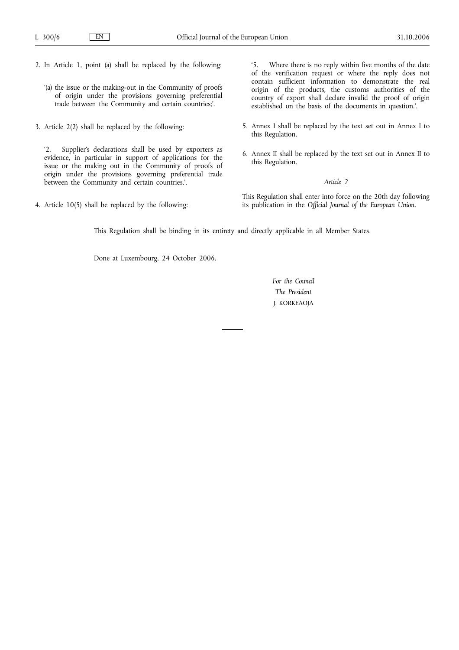- 2. In Article 1, point (a) shall be replaced by the following:
	- '(a) the issue or the making-out in the Community of proofs of origin under the provisions governing preferential trade between the Community and certain countries;'.
- 3. Article 2(2) shall be replaced by the following:

'2. Supplier's declarations shall be used by exporters as evidence, in particular in support of applications for the issue or the making out in the Community of proofs of origin under the provisions governing preferential trade between the Community and certain countries.'.

4. Article 10(5) shall be replaced by the following:

'5. Where there is no reply within five months of the date of the verification request or where the reply does not contain sufficient information to demonstrate the real origin of the products, the customs authorities of the country of export shall declare invalid the proof of origin established on the basis of the documents in question.'.

- 5. Annex I shall be replaced by the text set out in Annex I to this Regulation.
- 6. Annex II shall be replaced by the text set out in Annex II to this Regulation.

# *Article 2*

This Regulation shall enter into force on the 20th day following its publication in the *Official Journal of the European Union*.

This Regulation shall be binding in its entirety and directly applicable in all Member States.

Done at Luxembourg, 24 October 2006.

*For the Council The President* J. KORKEAOJA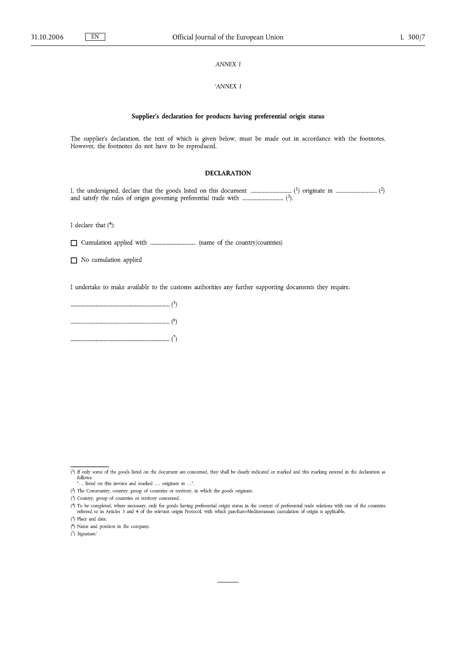$E$ N

## **ANNEX I**

#### 'ANNEX I

#### Supplier's declaration for products having preferential origin status

The supplier's declaration, the text of which is given below, must be made out in accordance with the footnotes. However, the footnotes do not have to be reproduced.

## **DECLARATION**

I declare that  $(4)$ :

 $\Box$  No cumulation applied

I undertake to make available to the customs authorities any further supporting documents they require:

 $\overline{(^4)}$  If only some of the goods listed on the document are concerned, they shall be clearly indicated or marked and this marking entered in the declaration as follows:<br>"... listed on this invoice and marked .... originate in ...".

<sup>(2)</sup> The Community, country, group of countries or territory, in which the goods originate.

<sup>(3)</sup> Country, group of countries or territory concerned.

<sup>(4)</sup> To be completed, where necessary, only for goods having preferential origin status in the context of preferential trade relations with one of the countries referred to in Articles 3 and 4 of the relevant origin Protoco

 $(5)$  Place and date.

 $(6)$  Name and position in the company.

<sup>(7)</sup> Signature.'